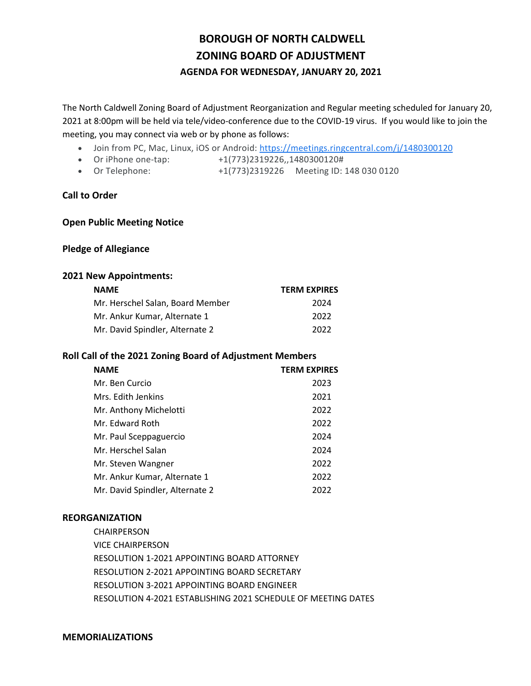# **BOROUGH OF NORTH CALDWELL ZONING BOARD OF ADJUSTMENT AGENDA FOR WEDNESDAY, JANUARY 20, 2021**

The North Caldwell Zoning Board of Adjustment Reorganization and Regular meeting scheduled for January 20, 2021 at 8:00pm will be held via tele/video-conference due to the COVID-19 virus. If you would like to join the meeting, you may connect via web or by phone as follows:

- Join from PC, Mac, Linux, iOS or Android: [https://meetings.ringcentral.com/j/1480300120](https://www.google.com/url?q=https://meetings.ringcentral.com/j/1480300120&sa=D&source=calendar&ust=1610558536303000&usg=AOvVaw3U7o1VjHdUOqjbNNygvpLL)
- Or iPhone one-tap: +1(773)2319226,,1480300120#
- Or Telephone: +1(773)2319226 Meeting ID: 148 030 0120

# **Call to Order**

### **Open Public Meeting Notice**

#### **Pledge of Allegiance**

#### **2021 New Appointments:**

| <b>NAME</b>                      | <b>TERM EXPIRES</b> |
|----------------------------------|---------------------|
| Mr. Herschel Salan, Board Member | 2024                |
| Mr. Ankur Kumar. Alternate 1     | 2022                |
| Mr. David Spindler, Alternate 2  | 2022                |

### **Roll Call of the 2021 Zoning Board of Adjustment Members**

| <b>NAME</b>                     | <b>TERM EXPIRES</b> |
|---------------------------------|---------------------|
| Mr. Ben Curcio                  | 2023                |
| Mrs. Edith Jenkins              | 2021                |
| Mr. Anthony Michelotti          | 2022                |
| Mr. Edward Roth                 | 2022                |
| Mr. Paul Sceppaguercio          | 2024                |
| Mr. Herschel Salan              | 2024                |
| Mr. Steven Wangner              | 2022                |
| Mr. Ankur Kumar, Alternate 1    | 2022                |
| Mr. David Spindler, Alternate 2 | 2022                |

### **REORGANIZATION**

CHAIRPERSON VICE CHAIRPERSON RESOLUTION 1-2021 APPOINTING BOARD ATTORNEY RESOLUTION 2-2021 APPOINTING BOARD SECRETARY RESOLUTION 3-2021 APPOINTING BOARD ENGINEER RESOLUTION 4-2021 ESTABLISHING 2021 SCHEDULE OF MEETING DATES